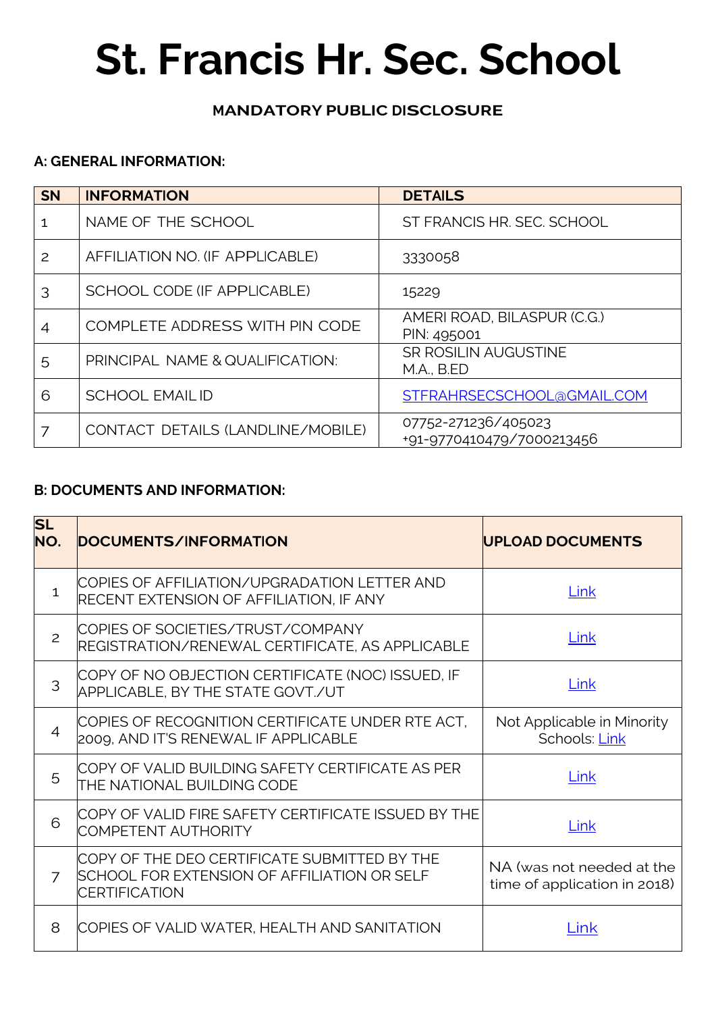# **St. Francis Hr. Sec. School**

## **MANDATORY PUBLIC DISCLOSURE**

#### **A: GENERAL INFORMATION:**

| <b>SN</b> | <b>INFORMATION</b>                | <b>DETAILS</b>                                   |
|-----------|-----------------------------------|--------------------------------------------------|
|           | NAME OF THE SCHOOL                | ST FRANCIS HR. SEC. SCHOOL                       |
| 2         | AFFILIATION NO. (IF APPLICABLE)   | 3330058                                          |
| 3         | SCHOOL CODE (IF APPLICABLE)       | 15229                                            |
| 4         | COMPLETE ADDRESS WITH PIN CODE    | AMERI ROAD, BILASPUR (C.G.)<br>PIN: 495001       |
| 5         | PRINCIPAL NAME & QUALIFICATION:   | <b>SR ROSILIN AUGUSTINE</b><br><b>M.A., B.ED</b> |
| 6         | <b>SCHOOL EMAILID</b>             | STFRAHRSECSCHOOL@GMAIL.COM                       |
|           | CONTACT DETAILS (LANDLINE/MOBILE) | 07752-271236/405023<br>+91-9770410479/7000213456 |

#### **B: DOCUMENTS AND INFORMATION:**

| <b>SL</b><br>NO. | DOCUMENTS/INFORMATION                                                                                               | <b>UPLOAD DOCUMENTS</b>                                   |  |
|------------------|---------------------------------------------------------------------------------------------------------------------|-----------------------------------------------------------|--|
| $\mathbf{1}$     | COPIES OF AFFILIATION/UPGRADATION LETTER AND<br>RECENT EXTENSION OF AFFILIATION, IF ANY                             | Link                                                      |  |
| 2                | COPIES OF SOCIETIES/TRUST/COMPANY<br>REGISTRATION/RENEWAL CERTIFICATE, AS APPLICABLE                                | Link                                                      |  |
| 3                | COPY OF NO OBJECTION CERTIFICATE (NOC) ISSUED, IF<br>APPLICABLE, BY THE STATE GOVT./UT                              | Link                                                      |  |
| $\overline{4}$   | COPIES OF RECOGNITION CERTIFICATE UNDER RTE ACT,<br>2009, AND IT'S RENEWAL IF APPLICABLE                            | Not Applicable in Minority<br>Schools: Link               |  |
| 5                | COPY OF VALID BUILDING SAFETY CERTIFICATE AS PER<br>THE NATIONAL BUILDING CODE                                      | Link                                                      |  |
| 6                | COPY OF VALID FIRE SAFETY CERTIFICATE ISSUED BY THE<br><b>COMPETENT AUTHORITY</b>                                   | Link                                                      |  |
| $\overline{7}$   | COPY OF THE DEO CERTIFICATE SUBMITTED BY THE<br>SCHOOL FOR EXTENSION OF AFFILIATION OR SELF<br><b>CERTIFICATION</b> | NA (was not needed at the<br>time of application in 2018) |  |
| 8                | COPIES OF VALID WATER, HEALTH AND SANITATION                                                                        | Link                                                      |  |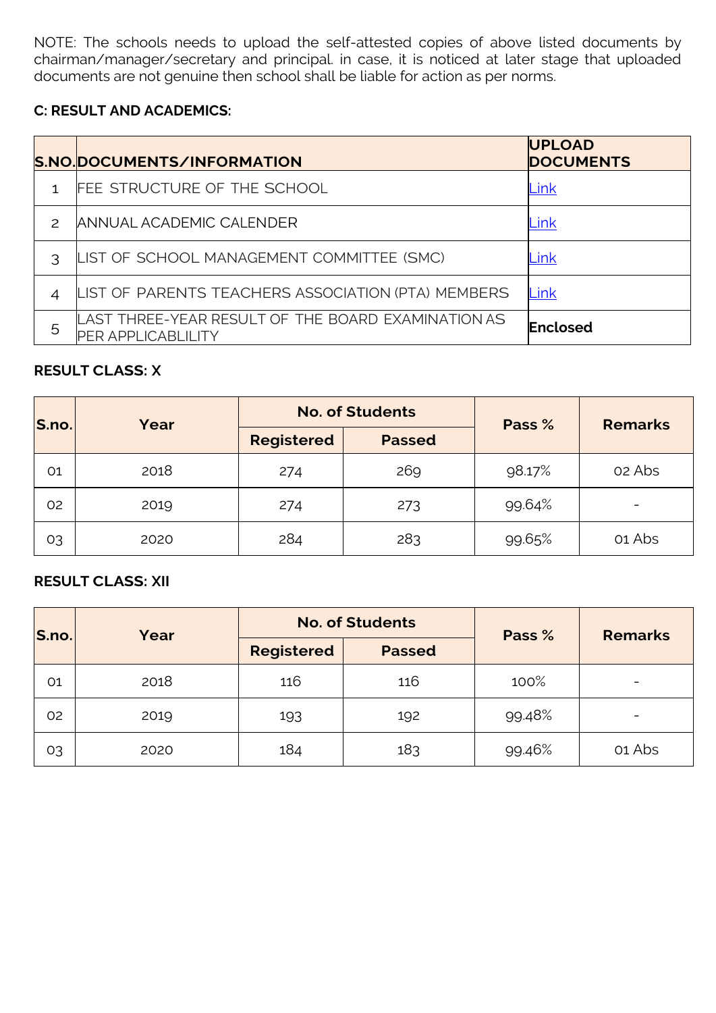NOTE: The schools needs to upload the self-attested copies of above listed documents by chairman/manager/secretary and principal. in case, it is noticed at later stage that uploaded documents are not genuine then school shall be liable for action as per norms.

#### **C: RESULT AND ACADEMICS:**

|               | S.NO.DOCUMENTS/INFORMATION                                                      | <b>UPLOAD</b><br><b>DOCUMENTS</b> |
|---------------|---------------------------------------------------------------------------------|-----------------------------------|
|               | FEE STRUCTURE OF THE SCHOOL                                                     | Link                              |
| $\mathcal{P}$ | ANNUAL ACADEMIC CALENDER                                                        | Link                              |
| Κ             | LIST OF SCHOOL MANAGEMENT COMMITTEE (SMC)                                       | Link                              |
| 4             | LIST OF PARENTS TEACHERS ASSOCIATION (PTA) MEMBERS                              | Link                              |
| 5             | LAST THREE-YEAR RESULT OF THE BOARD EXAMINATION AS<br><b>PER APPLICABLILITY</b> | Enclosed                          |

#### **RESULT CLASS: X**

| S.no. | Year | <b>No. of Students</b> |               | Pass % | <b>Remarks</b> |
|-------|------|------------------------|---------------|--------|----------------|
|       |      | <b>Registered</b>      | <b>Passed</b> |        |                |
| 01    | 2018 | 274                    | 269           | 98.17% | 02 Abs         |
| 02    | 2019 | 274                    | 273           | 99.64% |                |
| O3    | 2020 | 284                    | 283           | 99.65% | 01 Abs         |

#### **RESULT CLASS: XII**

| S.no. | Year | <b>No. of Students</b> |               | Pass % | <b>Remarks</b> |
|-------|------|------------------------|---------------|--------|----------------|
|       |      | <b>Registered</b>      | <b>Passed</b> |        |                |
| 01    | 2018 | 116                    | 116           | 100%   |                |
| 02    | 2019 | 193                    | 192           | 99.48% |                |
| O3    | 2020 | 184                    | 183           | 99.46% | 01 Abs         |